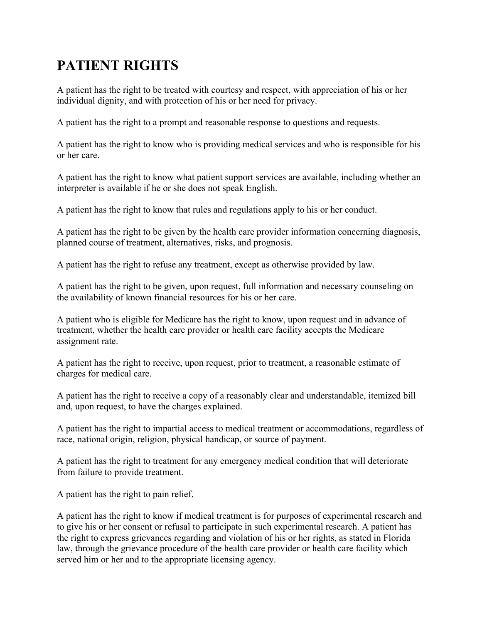## **PATIENT RIGHTS**

A patient has the right to be treated with courtesy and respect, with appreciation of his or her individual dignity, and with protection of his or her need for privacy.

A patient has the right to a prompt and reasonable response to questions and requests.

A patient has the right to know who is providing medical services and who is responsible for his or her care.

A patient has the right to know what patient support services are available, including whether an interpreter is available if he or she does not speak English.

A patient has the right to know that rules and regulations apply to his or her conduct.

A patient has the right to be given by the health care provider information concerning diagnosis, planned course of treatment, alternatives, risks, and prognosis.

A patient has the right to refuse any treatment, except as otherwise provided by law.

A patient has the right to be given, upon request, full information and necessary counseling on the availability of known financial resources for his or her care.

A patient who is eligible for Medicare has the right to know, upon request and in advance of treatment, whether the health care provider or health care facility accepts the Medicare assignment rate.

A patient has the right to receive, upon request, prior to treatment, a reasonable estimate of charges for medical care.

A patient has the right to receive a copy of a reasonably clear and understandable, itemized bill and, upon request, to have the charges explained.

A patient has the right to impartial access to medical treatment or accommodations, regardless of race, national origin, religion, physical handicap, or source of payment.

A patient has the right to treatment for any emergency medical condition that will deteriorate from failure to provide treatment.

A patient has the right to pain relief.

A patient has the right to know if medical treatment is for purposes of experimental research and to give his or her consent or refusal to participate in such experimental research. A patient has the right to express grievances regarding and violation of his or her rights, as stated in Florida law, through the grievance procedure of the health care provider or health care facility which served him or her and to the appropriate licensing agency.